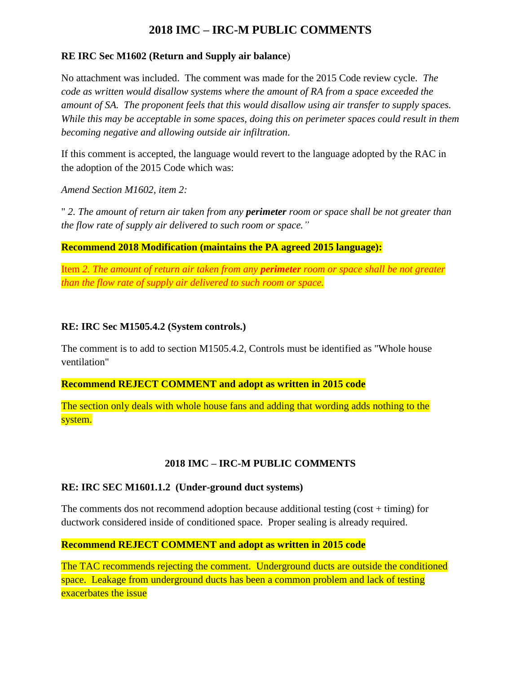# **2018 IMC – IRC-M PUBLIC COMMENTS**

# **RE IRC Sec M1602 (Return and Supply air balance**)

No attachment was included. The comment was made for the 2015 Code review cycle. *The code as written would disallow systems where the amount of RA from a space exceeded the amount of SA. The proponent feels that this would disallow using air transfer to supply spaces. While this may be acceptable in some spaces, doing this on perimeter spaces could result in them becoming negative and allowing outside air infiltration.*

If this comment is accepted, the language would revert to the language adopted by the RAC in the adoption of the 2015 Code which was:

*Amend Section M1602, item 2:*

" *2. The amount of return air taken from any perimeter room or space shall be not greater than the flow rate of supply air delivered to such room or space."*

**Recommend 2018 Modification (maintains the PA agreed 2015 language):**

Item *2. The amount of return air taken from any perimeter room or space shall be not greater than the flow rate of supply air delivered to such room or space.*

# **RE: IRC Sec M1505.4.2 (System controls.)**

The comment is to add to section M1505.4.2, Controls must be identified as "Whole house ventilation"

**Recommend REJECT COMMENT and adopt as written in 2015 code**

The section only deals with whole house fans and adding that wording adds nothing to the system.

# **2018 IMC – IRC-M PUBLIC COMMENTS**

# **RE: IRC SEC M1601.1.2 (Under-ground duct systems)**

The comments dos not recommend adoption because additional testing (cost + timing) for ductwork considered inside of conditioned space. Proper sealing is already required.

# **Recommend REJECT COMMENT and adopt as written in 2015 code**

The TAC recommends rejecting the comment. Underground ducts are outside the conditioned space. Leakage from underground ducts has been a common problem and lack of testing exacerbates the issue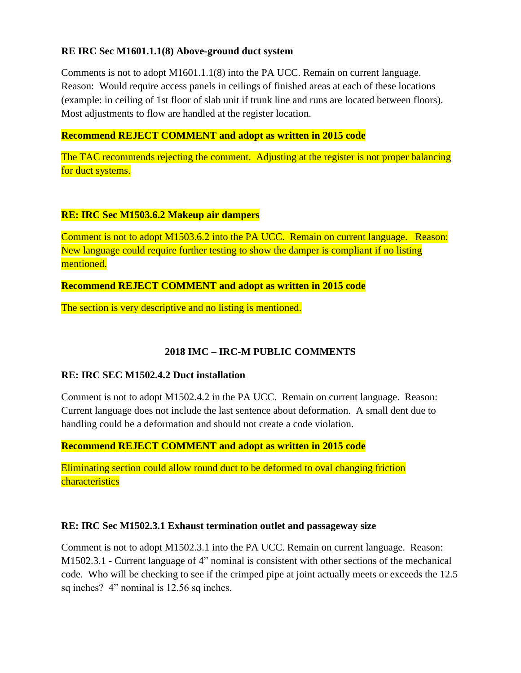# **RE IRC Sec M1601.1.1(8) Above-ground duct system**

Comments is not to adopt M1601.1.1(8) into the PA UCC. Remain on current language. Reason: Would require access panels in ceilings of finished areas at each of these locations (example: in ceiling of 1st floor of slab unit if trunk line and runs are located between floors). Most adjustments to flow are handled at the register location.

#### **Recommend REJECT COMMENT and adopt as written in 2015 code**

The TAC recommends rejecting the comment. Adjusting at the register is not proper balancing for duct systems.

#### **RE: IRC Sec M1503.6.2 Makeup air dampers**

Comment is not to adopt M1503.6.2 into the PA UCC. Remain on current language. Reason: New language could require further testing to show the damper is compliant if no listing mentioned.

**Recommend REJECT COMMENT and adopt as written in 2015 code**

The section is very descriptive and no listing is mentioned.

# **2018 IMC – IRC-M PUBLIC COMMENTS**

#### **RE: IRC SEC M1502.4.2 Duct installation**

Comment is not to adopt M1502.4.2 in the PA UCC. Remain on current language. Reason: Current language does not include the last sentence about deformation. A small dent due to handling could be a deformation and should not create a code violation.

**Recommend REJECT COMMENT and adopt as written in 2015 code**

Eliminating section could allow round duct to be deformed to oval changing friction **characteristics** 

#### **RE: IRC Sec M1502.3.1 Exhaust termination outlet and passageway size**

Comment is not to adopt M1502.3.1 into the PA UCC. Remain on current language. Reason: M1502.3.1 - Current language of 4" nominal is consistent with other sections of the mechanical code. Who will be checking to see if the crimped pipe at joint actually meets or exceeds the 12.5 sq inches? 4" nominal is 12.56 sq inches.